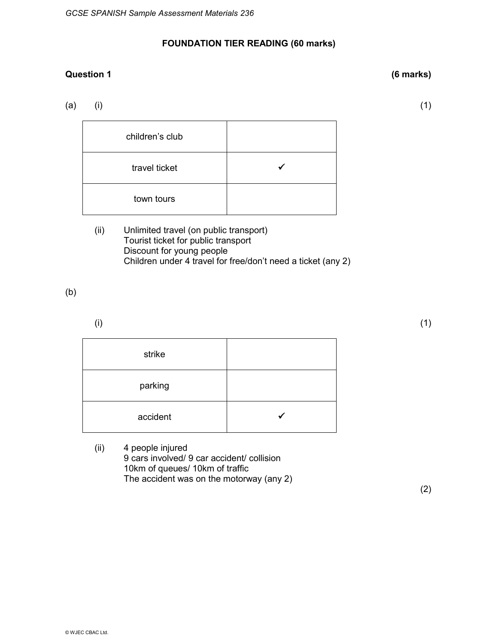## **FOUNDATION TIER READING (60 marks)**

## **Question 1 (6 marks)**

(a) (i)  $(1)$ 

| children's club |  |
|-----------------|--|
| travel ticket   |  |
| town tours      |  |

(ii) Unlimited travel (on public transport) Tourist ticket for public transport Discount for young people Children under 4 travel for free/don't need a ticket (any 2)

(b)

 $(1)$ 

| strike   |  |
|----------|--|
| parking  |  |
| accident |  |

(ii) 4 people injured 9 cars involved/ 9 car accident/ collision 10km of queues/ 10km of traffic The accident was on the motorway (any 2)

(2)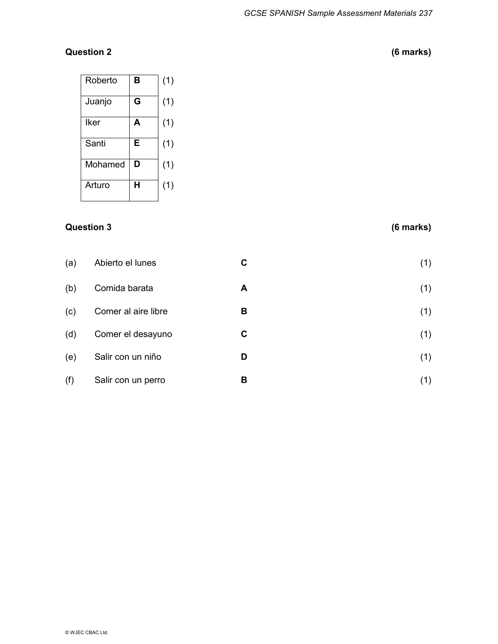# **Question 2 (6 marks)**

| Roberto | B | (1) |
|---------|---|-----|
| Juanjo  | G | (1) |
| Iker    | A | (1) |
| Santi   | E | (1) |
| Mohamed | D | (1) |
| Arturo  | н | (1) |

## **Question 3 (6 marks)**

| (a) | Abierto el lunes    | C | (1) |
|-----|---------------------|---|-----|
| (b) | Comida barata       | A | (1) |
| (c) | Comer al aire libre | B | (1) |
| (d) | Comer el desayuno   | C | (1) |
| (e) | Salir con un niño   | D | (1) |
| (f) | Salir con un perro  | в | (1) |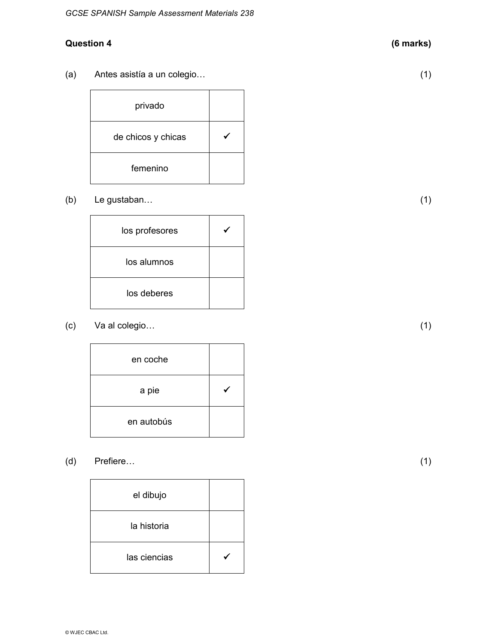## **Question 4 (6 marks)**

(a) Antes asistía a un colegio… (1)

privado de chicos y chicas  $\sqrt{\phantom{a}}$ femenino

(b) Le gustaban… (1)

 $\log$  profesores  $\sqrt{\phantom{a}}$ los alumnos los deberes

(c) Va al colegio… (1)

| en coche   |  |
|------------|--|
| a pie      |  |
| en autobús |  |

(d) Prefiere… (1)

| el dibujo    |  |
|--------------|--|
| la historia  |  |
| las ciencias |  |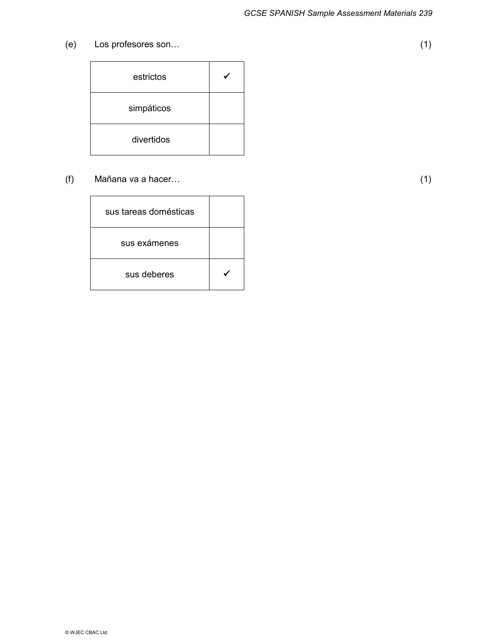(e) Los profesores son… (1)

| estrictos  |  |
|------------|--|
| simpáticos |  |
| divertidos |  |

(f) Mañana va a hacer… (1)

sus tareas domésticas sus exámenes sus deberes  $\sqrt{ }$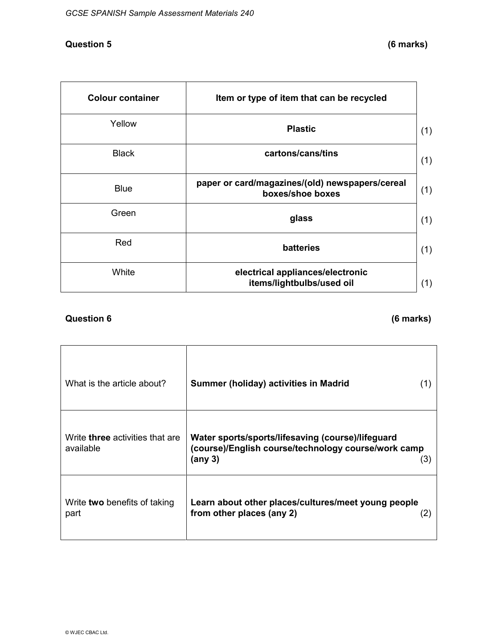#### **Question 5 (6 marks)**

| <b>Colour container</b> | Item or type of item that can be recycled                           |
|-------------------------|---------------------------------------------------------------------|
| Yellow                  | <b>Plastic</b>                                                      |
| <b>Black</b>            | cartons/cans/tins                                                   |
| <b>Blue</b>             | paper or card/magazines/(old) newspapers/cereal<br>boxes/shoe boxes |
| Green                   | glass                                                               |
| Red                     | batteries                                                           |
| White                   | electrical appliances/electronic<br>items/lightbulbs/used oil       |

## **Question 6 (6 marks)**

| What is the article about?                          | Summer (holiday) activities in Madrid<br>(1)                                                                               |
|-----------------------------------------------------|----------------------------------------------------------------------------------------------------------------------------|
| Write <b>three</b> activities that are<br>available | Water sports/sports/lifesaving (course)/lifeguard<br>(course)/English course/technology course/work camp<br>(any 3)<br>(3) |
| Write two benefits of taking<br>part                | Learn about other places/cultures/meet young people<br>from other places (any 2)<br>(2)                                    |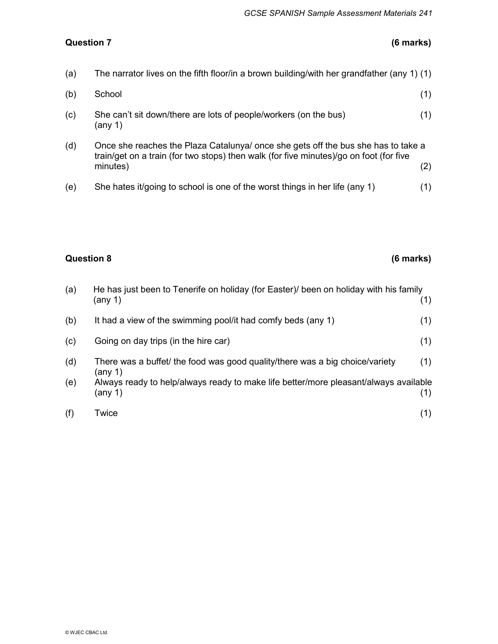## **Question 7 (6 marks)**

| (a) | The narrator lives on the fifth floor/in a brown building/with her grandfather (any 1) (1)                                                                                              |     |
|-----|-----------------------------------------------------------------------------------------------------------------------------------------------------------------------------------------|-----|
| (b) | School                                                                                                                                                                                  | (1) |
| (c) | She can't sit down/there are lots of people/workers (on the bus)<br>(any 1)                                                                                                             | (1) |
| (d) | Once she reaches the Plaza Catalunya/ once she gets off the bus she has to take a<br>train/get on a train (for two stops) then walk (for five minutes)/go on foot (for five<br>minutes) | (2) |

(e) She hates it/going to school is one of the worst things in her life (any 1) (1)

### **Question 8 (6 marks)**

| (a) | He has just been to Tenerife on holiday (for Easter) been on holiday with his family<br>(any 1) | (1) |
|-----|-------------------------------------------------------------------------------------------------|-----|
| (b) | It had a view of the swimming pool/it had comfy beds (any 1)                                    | (1) |
| (c) | Going on day trips (in the hire car)                                                            | (1) |
| (d) | There was a buffet/ the food was good quality/there was a big choice/variety<br>(any 1)         | (1) |
| (e) | Always ready to help/always ready to make life better/more pleasant/always available<br>(any 1) | (1) |
| (f) | Twice                                                                                           | (1) |